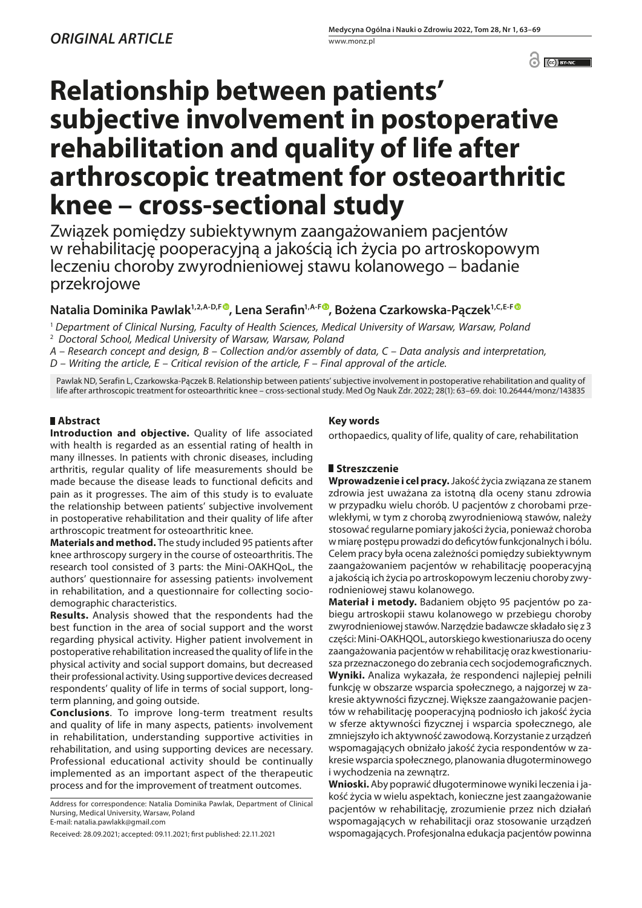<sup>o</sup> (c) BY-NC

# **Relationship between patients' subjective involvement in postoperative rehabilitation and quality of life after arthroscopic treatment for osteoarthritic knee – cross-sectional study**

Związek pomiędzy subiektywnym zaangażowaniem pacjentów w rehabilitację pooperacyjną a jakością ich życia po artroskopowym leczeniu choroby zwyrodnieniowej stawu kolanowego – badanie przekrojowe

# **Natalia Dominika Pawlak1,2,A-D,F [,](https://orcid.org/0000-0002-6223-1504) Lena Serafin1,A-F [,](https://orcid.org/0000-0003-1364-5767) Bożena Czarkowska-Pączek1,C,E-[F](https://orcid.org/0000-0002-1023-3057)**

<sup>1</sup> *Department of Clinical Nursing, Faculty of Health Sciences, Medical University of Warsaw, Warsaw, Poland* <sup>2</sup> *Doctoral School, Medical University of Warsaw, Warsaw, Poland*

*A – Research concept and design, B – Collection and/or assembly of data, C – Data analysis and interpretation,* 

*D – Writing the article, E – Critical revision of the article, F – Final approval of the article.*

Pawlak ND, Serafin L, Czarkowska-Pączek B. Relationship between patients' subjective involvement in postoperative rehabilitation and quality of life after arthroscopic treatment for osteoarthritic knee – cross-sectional study. Med Og Nauk Zdr. 2022; 28(1): 63–69. doi: 10.26444/monz/143835

# **Abstract**

**Introduction and objective.** Quality of life associated with health is regarded as an essential rating of health in many illnesses. In patients with chronic diseases, including arthritis, regular quality of life measurements should be made because the disease leads to functional deficits and pain as it progresses. The aim of this study is to evaluate the relationship between patients' subjective involvement in postoperative rehabilitation and their quality of life after arthroscopic treatment for osteoarthritic knee.

**Materials and method.** The study included 95 patients after knee arthroscopy surgery in the course of osteoarthritis. The research tool consisted of 3 parts: the Mini-OAKHQoL, the authors' questionnaire for assessing patients› involvement in rehabilitation, and a questionnaire for collecting sociodemographic characteristics.

**Results.** Analysis showed that the respondents had the best function in the area of social support and the worst regarding physical activity. Higher patient involvement in postoperative rehabilitation increased the quality of life in the physical activity and social support domains, but decreased their professional activity. Using supportive devices decreased respondents' quality of life in terms of social support, longterm planning, and going outside.

**Conclusions**. To improve long-term treatment results and quality of life in many aspects, patients› involvement in rehabilitation, understanding supportive activities in rehabilitation, and using supporting devices are necessary. Professional educational activity should be continually implemented as an important aspect of the therapeutic process and for the improvement of treatment outcomes.

Address for correspondence: Natalia Dominika Pawlak, Department of Clinical Nursing, Medical University, Warsaw, Poland E-mail: natalia.pawlakk@gmail.com

## **Key words**

orthopaedics, quality of life, quality of care, rehabilitation

# **Streszczenie**

**Wprowadzenie i cel pracy.** Jakość życia związana ze stanem zdrowia jest uważana za istotną dla oceny stanu zdrowia w przypadku wielu chorób. U pacjentów z chorobami przewlekłymi, w tym z chorobą zwyrodnieniową stawów, należy stosować regularne pomiary jakości życia, ponieważ choroba w miarę postępu prowadzi do deficytów funkcjonalnych i bólu. Celem pracy była ocena zależności pomiędzy subiektywnym zaangażowaniem pacjentów w rehabilitację pooperacyjną a jakością ich życia po artroskopowym leczeniu choroby zwyrodnieniowej stawu kolanowego.

**Materiał i metody.** Badaniem objęto 95 pacjentów po zabiegu artroskopii stawu kolanowego w przebiegu choroby zwyrodnieniowej stawów. Narzędzie badawcze składało się z 3 części: Mini-OAKHQOL, autorskiego kwestionariusza do oceny zaangażowania pacjentów w rehabilitację oraz kwestionariusza przeznaczonego do zebrania cech socjodemograficznych. **Wyniki.** Analiza wykazała, że respondenci najlepiej pełnili funkcję w obszarze wsparcia społecznego, a najgorzej w zakresie aktywności fizycznej. Większe zaangażowanie pacjentów w rehabilitację pooperacyjną podniosło ich jakość życia w sferze aktywności fizycznej i wsparcia społecznego, ale zmniejszyło ich aktywność zawodową. Korzystanie z urządzeń wspomagających obniżało jakość życia respondentów w zakresie wsparcia społecznego, planowania długoterminowego i wychodzenia na zewnątrz.

**Wnioski.** Aby poprawić długoterminowe wyniki leczenia i jakość życia w wielu aspektach, konieczne jest zaangażowanie pacjentów w rehabilitację, zrozumienie przez nich działań wspomagających w rehabilitacji oraz stosowanie urządzeń wspomagających. Profesjonalna edukacja pacjentów powinna

Received: 28.09.2021; accepted: 09.11.2021; first published: 22.11.2021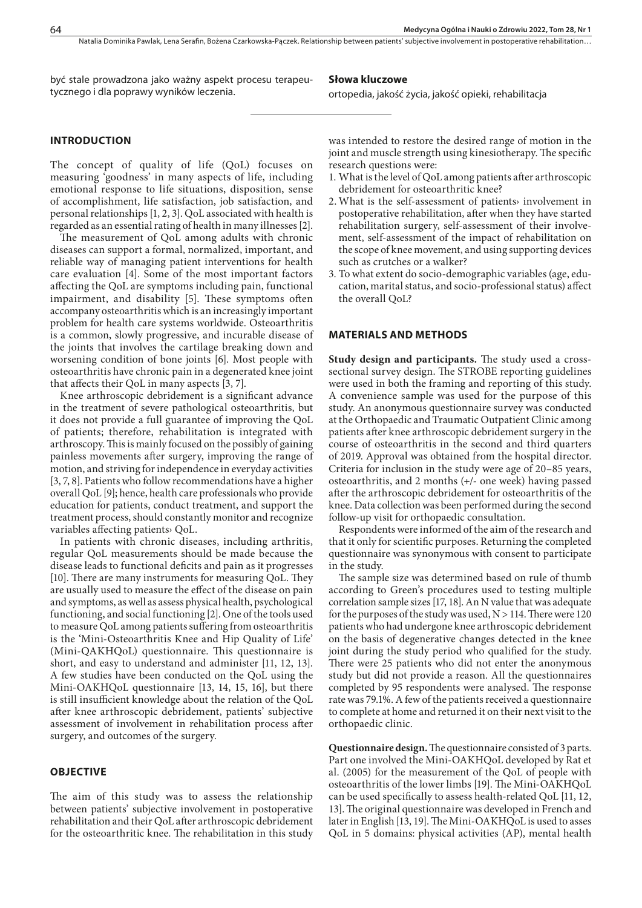być stale prowadzona jako ważny aspekt procesu terapeutycznego i dla poprawy wyników leczenia.

#### **Słowa kluczowe**

ortopedia, jakość życia, jakość opieki, rehabilitacja

### **INTRODUCTION**

The concept of quality of life (QoL) focuses on measuring 'goodness' in many aspects of life, including emotional response to life situations, disposition, sense of accomplishment, life satisfaction, job satisfaction, and personal relationships [1, 2, 3]. QoL associated with health is regarded as an essential rating of health in many illnesses [2].

The measurement of QoL among adults with chronic diseases can support a formal, normalized, important, and reliable way of managing patient interventions for health care evaluation [4]. Some of the most important factors affecting the QoL are symptoms including pain, functional impairment, and disability [5]. These symptoms often accompany osteoarthritis which is an increasingly important problem for health care systems worldwide. Osteoarthritis is a common, slowly progressive, and incurable disease of the joints that involves the cartilage breaking down and worsening condition of bone joints [6]. Most people with osteoarthritis have chronic pain in a degenerated knee joint that affects their QoL in many aspects [3, 7].

Knee arthroscopic debridement is a significant advance in the treatment of severe pathological osteoarthritis, but it does not provide a full guarantee of improving the QoL of patients; therefore, rehabilitation is integrated with arthroscopy. This is mainly focused on the possibly of gaining painless movements after surgery, improving the range of motion, and striving for independence in everyday activities [3, 7, 8]. Patients who follow recommendations have a higher overall QoL [9]; hence, health care professionals who provide education for patients, conduct treatment, and support the treatment process, should constantly monitor and recognize variables affecting patients› QoL.

In patients with chronic diseases, including arthritis, regular QoL measurements should be made because the disease leads to functional deficits and pain as it progresses [10]. There are many instruments for measuring QoL. They are usually used to measure the effect of the disease on pain and symptoms, as well as assess physical health, psychological functioning, and social functioning [2]. One of the tools used to measure QoL among patients suffering from osteoarthritis is the 'Mini-Osteoarthritis Knee and Hip Quality of Life' (Mini-QAKHQoL) questionnaire. This questionnaire is short, and easy to understand and administer [11, 12, 13]. A few studies have been conducted on the QoL using the Mini-OAKHQoL questionnaire [13, 14, 15, 16], but there is still insufficient knowledge about the relation of the QoL after knee arthroscopic debridement, patients' subjective assessment of involvement in rehabilitation process after surgery, and outcomes of the surgery.

#### **OBJECTIVE**

The aim of this study was to assess the relationship between patients' subjective involvement in postoperative rehabilitation and their QoL after arthroscopic debridement for the osteoarthritic knee. The rehabilitation in this study was intended to restore the desired range of motion in the joint and muscle strength using kinesiotherapy. The specific research questions were:

- 1. What is the level of QoL among patients after arthroscopic debridement for osteoarthritic knee?
- 2. What is the self-assessment of patients› involvement in postoperative rehabilitation, after when they have started rehabilitation surgery, self-assessment of their involvement, self-assessment of the impact of rehabilitation on the scope of knee movement, and using supporting devices such as crutches or a walker?
- 3. To what extent do socio-demographic variables (age, education, marital status, and socio-professional status) affect the overall QoL?

#### **MATERIALS AND METHODS**

**Study design and participants.** The study used a crosssectional survey design. The STROBE reporting guidelines were used in both the framing and reporting of this study. A convenience sample was used for the purpose of this study. An anonymous questionnaire survey was conducted at the Orthopaedic and Traumatic Outpatient Clinic among patients after knee arthroscopic debridement surgery in the course of osteoarthritis in the second and third quarters of 2019. Approval was obtained from the hospital director. Criteria for inclusion in the study were age of 20–85 years, osteoarthritis, and 2 months (+/- one week) having passed after the arthroscopic debridement for osteoarthritis of the knee. Data collection was been performed during the second follow-up visit for orthopaedic consultation.

Respondents were informed of the aim of the research and that it only for scientific purposes. Returning the completed questionnaire was synonymous with consent to participate in the study.

The sample size was determined based on rule of thumb according to Green's procedures used to testing multiple correlation sample sizes [17, 18]. An N value that was adequate for the purposes of the study was used,  $N > 114$ . There were 120 patients who had undergone knee arthroscopic debridement on the basis of degenerative changes detected in the knee joint during the study period who qualified for the study. There were 25 patients who did not enter the anonymous study but did not provide a reason. All the questionnaires completed by 95 respondents were analysed. The response rate was 79.1%. A few of the patients received a questionnaire to complete at home and returned it on their next visit to the orthopaedic clinic.

**Questionnaire design.** The questionnaire consisted of 3 parts. Part one involved the Mini-OAKHQoL developed by Rat et al. (2005) for the measurement of the QoL of people with osteoarthritis of the lower limbs [19]. The Mini-OAKHQoL can be used specifically to assess health-related QoL [11, 12, 13]. The original questionnaire was developed in French and later in English [13, 19]. The Mini-OAKHQoL is used to asses QoL in 5 domains: physical activities (AP), mental health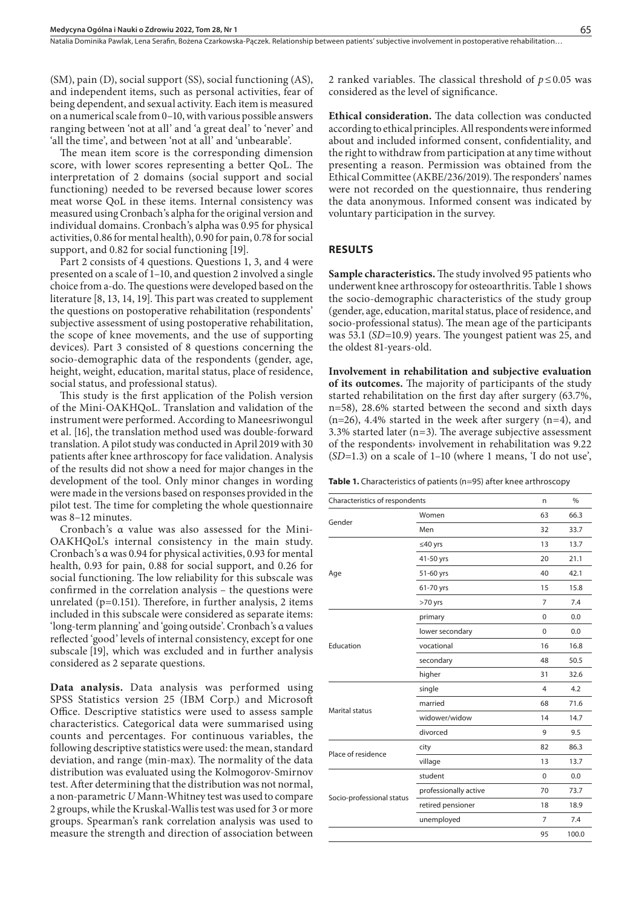(SM), pain (D), social support (SS), social functioning (AS), and independent items, such as personal activities, fear of being dependent, and sexual activity. Each item is measured on a numerical scale from 0–10, with various possible answers ranging between 'not at all' and 'a great deal' to 'never' and 'all the time', and between 'not at all' and 'unbearable'.

The mean item score is the corresponding dimension score, with lower scores representing a better QoL. The interpretation of 2 domains (social support and social functioning) needed to be reversed because lower scores meat worse QoL in these items. Internal consistency was measured using Cronbach's alpha for the original version and individual domains. Cronbach's alpha was 0.95 for physical activities, 0.86 for mental health), 0.90 for pain, 0.78 for social support, and 0.82 for social functioning [19].

Part 2 consists of 4 questions. Questions 1, 3, and 4 were presented on a scale of 1–10, and question 2 involved a single choice from a-do. The questions were developed based on the literature [8, 13, 14, 19]. This part was created to supplement the questions on postoperative rehabilitation (respondents' subjective assessment of using postoperative rehabilitation, the scope of knee movements, and the use of supporting devices). Part 3 consisted of 8 questions concerning the socio-demographic data of the respondents (gender, age, height, weight, education, marital status, place of residence, social status, and professional status).

This study is the first application of the Polish version of the Mini-OAKHQoL. Translation and validation of the instrument were performed. According to Maneesriwongul et al. [16], the translation method used was double-forward translation. A pilot study was conducted in April 2019 with 30 patients after knee arthroscopy for face validation. Analysis of the results did not show a need for major changes in the development of the tool. Only minor changes in wording were made in the versions based on responses provided in the pilot test. The time for completing the whole questionnaire was 8–12 minutes.

Cronbach's α value was also assessed for the Mini-OAKHQoL's internal consistency in the main study. Cronbach's α was 0.94 for physical activities, 0.93 for mental health, 0.93 for pain, 0.88 for social support, and 0.26 for social functioning. The low reliability for this subscale was confirmed in the correlation analysis – the questions were unrelated ( $p=0.151$ ). Therefore, in further analysis, 2 items included in this subscale were considered as separate items: 'long-term planning' and 'going outside'. Cronbach's α values reflected 'good' levels of internal consistency, except for one subscale [19], which was excluded and in further analysis considered as 2 separate questions.

**Data analysis.** Data analysis was performed using SPSS Statistics version 25 (IBM Corp.) and Microsoft Office. Descriptive statistics were used to assess sample characteristics. Categorical data were summarised using counts and percentages. For continuous variables, the following descriptive statistics were used: the mean, standard deviation, and range (min-max). The normality of the data distribution was evaluated using the Kolmogorov-Smirnov test. After determining that the distribution was not normal, a non-parametric *U* Mann-Whitney test was used to compare 2 groups, while the Kruskal-Wallis test was used for 3 or more groups. Spearman's rank correlation analysis was used to measure the strength and direction of association between 2 ranked variables. The classical threshold of *p*≤0.05 was considered as the level of significance.

**Ethical consideration.** The data collection was conducted according to ethical principles. All respondents were informed about and included informed consent, confidentiality, and the right to withdraw from participation at any time without presenting a reason. Permission was obtained from the Ethical Committee (AKBE/236/2019). The responders' names were not recorded on the questionnaire, thus rendering the data anonymous. Informed consent was indicated by voluntary participation in the survey.

#### **RESULTS**

**Sample characteristics.** The study involved 95 patients who underwent knee arthroscopy for osteoarthritis. Table 1 shows the socio-demographic characteristics of the study group (gender, age, education, marital status, place of residence, and socio-professional status). The mean age of the participants was 53.1 (*SD*=10.9) years. The youngest patient was 25, and the oldest 81-years-old.

**Involvement in rehabilitation and subjective evaluation of its outcomes.** The majority of participants of the study started rehabilitation on the first day after surgery (63.7%, n=58), 28.6% started between the second and sixth days  $(n=26)$ , 4.4% started in the week after surgery  $(n=4)$ , and 3.3% started later (n=3). The average subjective assessment of the respondents› involvement in rehabilitation was 9.22 (*SD*=1.3) on a scale of 1–10 (where 1 means, 'I do not use',

|  | Table 1. Characteristics of patients (n=95) after knee arthroscopy |  |  |  |  |
|--|--------------------------------------------------------------------|--|--|--|--|
|--|--------------------------------------------------------------------|--|--|--|--|

| Characteristics of respondents | n              | %     |
|--------------------------------|----------------|-------|
| Women                          | 63             | 66.3  |
| Men                            | 32             | 33.7  |
| ≤40 yrs                        | 13             | 13.7  |
| 41-50 yrs                      | 20             | 21.1  |
| 51-60 yrs                      | 40             | 42.1  |
| 61-70 yrs                      | 15             | 15.8  |
| $>70$ yrs                      | $\overline{7}$ | 7.4   |
| primary                        | $\mathbf 0$    | 0.0   |
| lower secondary                | $\mathbf{0}$   | 0.0   |
| vocational                     | 16             | 16.8  |
| secondary                      | 48             | 50.5  |
| higher                         | 31             | 32.6  |
| single                         | $\overline{4}$ | 4.2   |
| married                        | 68             | 71.6  |
| widower/widow                  | 14             | 14.7  |
| divorced                       | 9              | 9.5   |
| city                           | 82             | 86.3  |
| village                        | 13             | 13.7  |
| student                        | $\Omega$       | 0.0   |
| professionally active          | 70             | 73.7  |
| retired pensioner              | 18             | 18.9  |
| unemployed                     | 7              | 7.4   |
|                                | 95             | 100.0 |
|                                |                |       |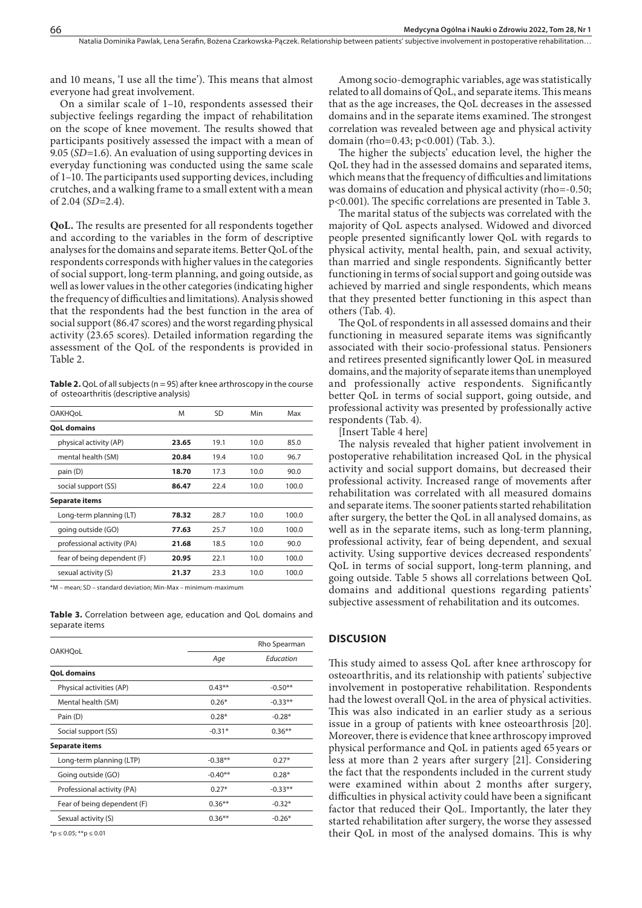and 10 means, 'I use all the time'). This means that almost everyone had great involvement.

On a similar scale of 1–10, respondents assessed their subjective feelings regarding the impact of rehabilitation on the scope of knee movement. The results showed that participants positively assessed the impact with a mean of 9.05 (*SD*=1.6). An evaluation of using supporting devices in everyday functioning was conducted using the same scale of 1–10. The participants used supporting devices, including crutches, and a walking frame to a small extent with a mean of 2.04 (*SD*=2.4).

**QoL.** The results are presented for all respondents together and according to the variables in the form of descriptive analyses for the domains and separate items. Better QoL of the respondents corresponds with higher values in the categories of social support, long-term planning, and going outside, as well as lower values in the other categories (indicating higher the frequency of difficulties and limitations). Analysis showed that the respondents had the best function in the area of social support (86.47 scores) and the worst regarding physical activity (23.65 scores). Detailed information regarding the assessment of the QoL of the respondents is provided in Table 2.

**Table 2.** QoL of all subjects (n = 95) after knee arthroscopy in the course of osteoarthritis (descriptive analysis)

| <b>OAKHOoL</b>              | M     | SD   | Min  | Max   |  |
|-----------------------------|-------|------|------|-------|--|
| <b>OoL domains</b>          |       |      |      |       |  |
| physical activity (AP)      | 23.65 | 19.1 | 10.0 | 85.0  |  |
| mental health (SM)          | 20.84 | 19.4 | 10.0 | 96.7  |  |
| pain (D)                    | 18.70 | 17.3 | 10.0 | 90.0  |  |
| social support (SS)         | 86.47 | 22.4 | 10.0 | 100.0 |  |
| Separate items              |       |      |      |       |  |
| Long-term planning (LT)     | 78.32 | 28.7 | 10.0 | 100.0 |  |
| going outside (GO)          | 77.63 | 25.7 | 10.0 | 100.0 |  |
| professional activity (PA)  | 21.68 | 18.5 | 10.0 | 90.0  |  |
| fear of being dependent (F) | 20.95 | 22.1 | 10.0 | 100.0 |  |
| sexual activity (S)         | 21.37 | 23.3 | 10.0 | 100.0 |  |

\*M – mean; SD – standard deviation; Min-Max – minimum-maximum

**Table 3.** Correlation between age, education and QoL domains and separate items

|                             |           | Rho Spearman |  |  |
|-----------------------------|-----------|--------------|--|--|
| <b>OAKHQoL</b>              | Age       | Education    |  |  |
| <b>QoL domains</b>          |           |              |  |  |
| Physical activities (AP)    | $0.43**$  | $-0.50**$    |  |  |
| Mental health (SM)          | $0.26*$   | $-0.33**$    |  |  |
| Pain (D)                    | $0.28*$   | $-0.28*$     |  |  |
| Social support (SS)         | $-0.31*$  | $0.36***$    |  |  |
| Separate items              |           |              |  |  |
| Long-term planning (LTP)    | $-0.38**$ | $0.27*$      |  |  |
| Going outside (GO)          | $-0.40**$ | $0.28*$      |  |  |
| Professional activity (PA)  | $0.27*$   | $-0.33**$    |  |  |
| Fear of being dependent (F) | $0.36**$  | $-0.32*$     |  |  |
| Sexual activity (S)         | $0.36**$  | $-0.26*$     |  |  |
|                             |           |              |  |  |

 $*$ p ≤ 0.05;  $*$  $*$ p ≤ 0.01

Among socio-demographic variables, age was statistically related to all domains of QoL, and separate items. This means that as the age increases, the QoL decreases in the assessed domains and in the separate items examined. The strongest correlation was revealed between age and physical activity domain (rho=0.43; p<0.001) (Tab. 3.).

The higher the subjects' education level, the higher the QoL they had in the assessed domains and separated items, which means that the frequency of difficulties and limitations was domains of education and physical activity (rho=-0.50; p<0.001). The specific correlations are presented in Table 3.

The marital status of the subjects was correlated with the majority of QoL aspects analysed. Widowed and divorced people presented significantly lower QoL with regards to physical activity, mental health, pain, and sexual activity, than married and single respondents. Significantly better functioning in terms of social support and going outside was achieved by married and single respondents, which means that they presented better functioning in this aspect than others (Tab. 4).

The QoL of respondents in all assessed domains and their functioning in measured separate items was significantly associated with their socio-professional status. Pensioners and retirees presented significantly lower QoL in measured domains, and the majority of separate items than unemployed and professionally active respondents. Significantly better QoL in terms of social support, going outside, and professional activity was presented by professionally active respondents (Tab. 4).

[Insert Table 4 here]

The nalysis revealed that higher patient involvement in postoperative rehabilitation increased QoL in the physical activity and social support domains, but decreased their professional activity. Increased range of movements after rehabilitation was correlated with all measured domains and separate items. The sooner patients started rehabilitation after surgery, the better the QoL in all analysed domains, as well as in the separate items, such as long-term planning, professional activity, fear of being dependent, and sexual activity. Using supportive devices decreased respondents' QoL in terms of social support, long-term planning, and going outside. Table 5 shows all correlations between QoL domains and additional questions regarding patients' subjective assessment of rehabilitation and its outcomes.

#### **DISCUSION**

This study aimed to assess QoL after knee arthroscopy for osteoarthritis, and its relationship with patients' subjective involvement in postoperative rehabilitation. Respondents had the lowest overall QoL in the area of physical activities. This was also indicated in an earlier study as a serious issue in a group of patients with knee osteoarthrosis [20]. Moreover, there is evidence that knee arthroscopy improved physical performance and QoL in patients aged 65 years or less at more than 2 years after surgery [21]. Considering the fact that the respondents included in the current study were examined within about 2 months after surgery, difficulties in physical activity could have been a significant factor that reduced their QoL. Importantly, the later they started rehabilitation after surgery, the worse they assessed their QoL in most of the analysed domains. This is why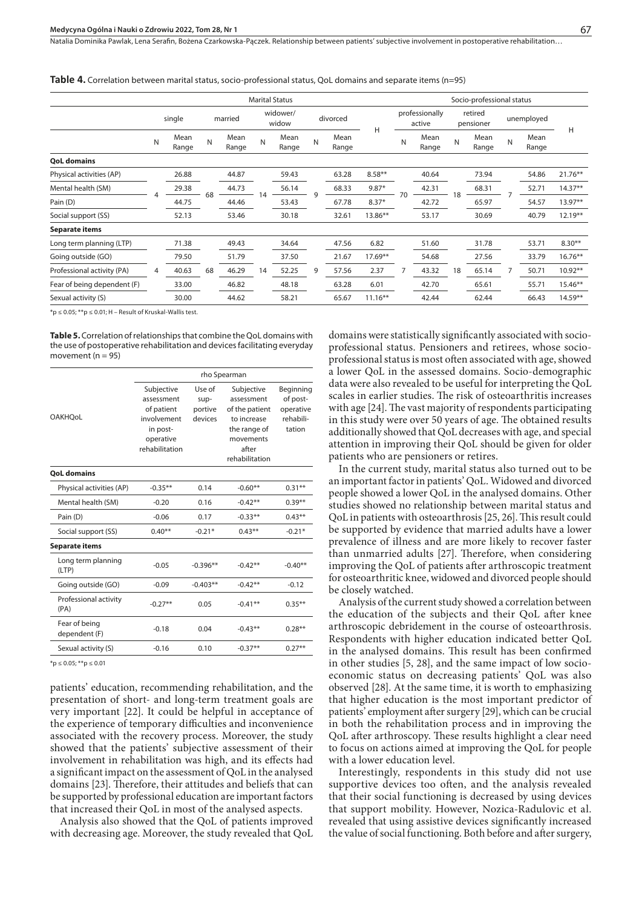Natalia Dominika Pawlak, Lena Serafin, Bożena Czarkowska-Pączek . Relationship between patients' subjective involvement in postoperative rehabilitation…

**Table 4.** Correlation between marital status, socio-professional status, QoL domains and separate items (n=95)

|                             | <b>Marital Status</b> |               |         |               |                   |               |          | Socio-professional status |            |                          |               |                      |               |              |               |            |
|-----------------------------|-----------------------|---------------|---------|---------------|-------------------|---------------|----------|---------------------------|------------|--------------------------|---------------|----------------------|---------------|--------------|---------------|------------|
|                             | single                |               | married |               | widower/<br>widow |               | divorced |                           |            | professionally<br>active |               | retired<br>pensioner |               | unemployed   |               |            |
|                             | N                     | Mean<br>Range | N       | Mean<br>Range | N                 | Mean<br>Range | N        | Mean<br>Range             | H          | N                        | Mean<br>Range | N                    | Mean<br>Range | $\mathsf{N}$ | Mean<br>Range | H          |
| <b>OoL domains</b>          |                       |               |         |               |                   |               |          |                           |            |                          |               |                      |               |              |               |            |
| Physical activities (AP)    |                       | 26.88         |         | 44.87         |                   | 59.43         |          | 63.28                     | $8.58**$   | 70                       | 40.64         | 18                   | 73.94         |              | 54.86         | $21.76***$ |
| Mental health (SM)          |                       | 29.38         |         | 44.73         |                   | 56.14         |          | 68.33                     | $9.87*$    |                          | 42.31         |                      | 68.31         |              | 52.71         | $14.37**$  |
| Pain (D)                    |                       | 44.75         | 68      | 44.46         | 14                | 53.43         |          | 67.78                     | $8.37*$    |                          | 42.72         |                      | 65.97         |              | 54.57         | 13.97**    |
| Social support (SS)         |                       | 52.13         |         | 53.46         |                   | 30.18         |          | 32.61                     | 13.86**    |                          | 53.17         |                      | 30.69         |              | 40.79         | $12.19***$ |
| Separate items              |                       |               |         |               |                   |               |          |                           |            |                          |               |                      |               |              |               |            |
| Long term planning (LTP)    |                       | 71.38         |         | 49.43         |                   | 34.64         |          | 47.56                     | 6.82       |                          | 51.60         |                      | 31.78         |              | 53.71         | $8.30**$   |
| Going outside (GO)          | $\overline{4}$        | 79.50         |         | 51.79         |                   | 37.50         | 9        | 21.67                     | 17.69**    |                          | 54.68         | 18                   | 27.56         |              | 33.79         | $16.76***$ |
| Professional activity (PA)  |                       | 40.63         | 68      | 46.29         | 14                | 52.25         |          | 57.56                     | 2.37       |                          | 43.32         |                      | 65.14         |              | 50.71         | $10.92**$  |
| Fear of being dependent (F) |                       | 33.00         |         | 46.82         |                   | 48.18         |          | 63.28                     | 6.01       |                          | 42.70         |                      | 65.61         |              | 55.71         | $15.46**$  |
| Sexual activity (S)         |                       | 30.00         |         | 44.62         |                   | 58.21         |          | 65.67                     | $11.16***$ |                          | 42.44         |                      | 62.44         |              | 66.43         | $14.59***$ |

 $*p \le 0.05$ ;  $**p \le 0.01$ ; H – Result of Kruskal-Wallis test.

**Table 5.** Correlation of relationships that combine the QoL domains with the use of postoperative rehabilitation and devices facilitating everyday movement ( $n = 95$ )

|                                | rho Spearman                                                                                     |                                      |                                                                                                 |                                                           |  |  |  |  |
|--------------------------------|--------------------------------------------------------------------------------------------------|--------------------------------------|-------------------------------------------------------------------------------------------------|-----------------------------------------------------------|--|--|--|--|
| <b>OAKHOoL</b>                 | Subjective<br>assessment<br>of patient<br>involvement<br>in post-<br>operative<br>rehabilitation | Use of<br>sup-<br>portive<br>devices | Subjective<br>assessment<br>of the patient<br>to increase<br>the range of<br>movements<br>after | Beginning<br>of post-<br>operative<br>rehabili-<br>tation |  |  |  |  |
| <b>QoL domains</b>             |                                                                                                  |                                      | rehabilitation                                                                                  |                                                           |  |  |  |  |
| Physical activities (AP)       | $-0.35***$                                                                                       | 0.14                                 | $-0.60**$                                                                                       | $0.31**$                                                  |  |  |  |  |
| Mental health (SM)             | $-0.20$                                                                                          | 0.16                                 | $-0.42**$                                                                                       | $0.39**$                                                  |  |  |  |  |
| Pain (D)                       | $-0.06$                                                                                          | 0.17                                 | $-0.33**$                                                                                       | $0.43***$                                                 |  |  |  |  |
| Social support (SS)            | $0.40**$                                                                                         | $-0.21*$                             | $0.43**$                                                                                        | $-0.21*$                                                  |  |  |  |  |
| <b>Separate items</b>          |                                                                                                  |                                      |                                                                                                 |                                                           |  |  |  |  |
| Long term planning<br>(LTP)    | $-0.05$                                                                                          | $-0.396**$                           | $-0.42**$                                                                                       | $-0.40**$                                                 |  |  |  |  |
| Going outside (GO)             | $-0.09$                                                                                          | $-0.403**$                           | $-0.42**$                                                                                       | $-0.12$                                                   |  |  |  |  |
| Professional activity<br>(PA)  | $-0.27**$                                                                                        | 0.05                                 | $-0.41**$                                                                                       | $0.35***$                                                 |  |  |  |  |
| Fear of being<br>dependent (F) | $-0.18$                                                                                          | 0.04                                 | $-0.43**$                                                                                       | $0.28**$                                                  |  |  |  |  |
| Sexual activity (S)            | $-0.16$                                                                                          | 0.10                                 | $-0.37**$                                                                                       | $0.27***$                                                 |  |  |  |  |
|                                |                                                                                                  |                                      |                                                                                                 |                                                           |  |  |  |  |

 $*p \le 0.05; **p \le 0.01$ 

patients' education, recommending rehabilitation, and the presentation of short- and long-term treatment goals are very important [22]. It could be helpful in acceptance of the experience of temporary difficulties and inconvenience associated with the recovery process. Moreover, the study showed that the patients' subjective assessment of their involvement in rehabilitation was high, and its effects had a significant impact on the assessment of QoL in the analysed domains [23]. Therefore, their attitudes and beliefs that can be supported by professional education are important factors that increased their QoL in most of the analysed aspects.

Analysis also showed that the QoL of patients improved with decreasing age. Moreover, the study revealed that QoL domains were statistically significantly associated with socioprofessional status. Pensioners and retirees, whose socioprofessional status is most often associated with age, showed a lower QoL in the assessed domains. Socio-demographic data were also revealed to be useful for interpreting the QoL scales in earlier studies. The risk of osteoarthritis increases with age [24]. The vast majority of respondents participating in this study were over 50 years of age. The obtained results additionally showed that QoL decreases with age, and special attention in improving their QoL should be given for older patients who are pensioners or retires.

In the current study, marital status also turned out to be an important factor in patients' QoL. Widowed and divorced people showed a lower QoL in the analysed domains. Other studies showed no relationship between marital status and QoL in patients with osteoarthrosis [25, 26]. This result could be supported by evidence that married adults have a lower prevalence of illness and are more likely to recover faster than unmarried adults [27]. Therefore, when considering improving the QoL of patients after arthroscopic treatment for osteoarthritic knee, widowed and divorced people should be closely watched.

Analysis of the current study showed a correlation between the education of the subjects and their QoL after knee arthroscopic debridement in the course of osteoarthrosis. Respondents with higher education indicated better QoL in the analysed domains. This result has been confirmed in other studies [5, 28], and the same impact of low socioeconomic status on decreasing patients' QoL was also observed [28]. At the same time, it is worth to emphasizing that higher education is the most important predictor of patients' employment after surgery [29], which can be crucial in both the rehabilitation process and in improving the QoL after arthroscopy. These results highlight a clear need to focus on actions aimed at improving the QoL for people with a lower education level.

Interestingly, respondents in this study did not use supportive devices too often, and the analysis revealed that their social functioning is decreased by using devices that support mobility. However, Nozica-Radulovic et al. revealed that using assistive devices significantly increased the value of social functioning. Both before and after surgery,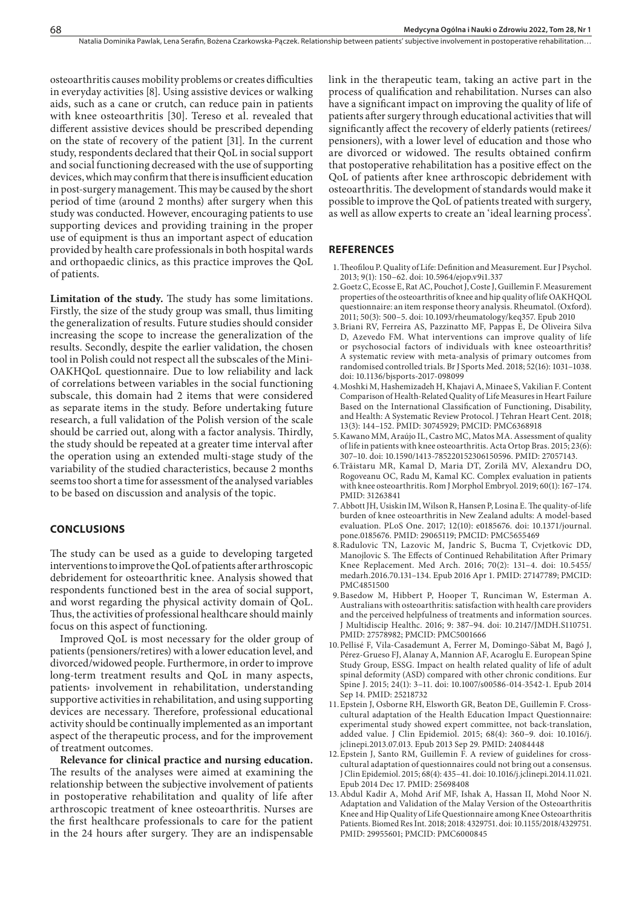osteoarthritis causes mobility problems or creates difficulties in everyday activities [8]. Using assistive devices or walking aids, such as a cane or crutch, can reduce pain in patients with knee osteoarthritis [30]. Tereso et al. revealed that different assistive devices should be prescribed depending on the state of recovery of the patient [31]. In the current study, respondents declared that their QoL in social support and social functioning decreased with the use of supporting devices, which may confirm that there is insufficient education in post-surgery management. This may be caused by the short period of time (around 2 months) after surgery when this study was conducted. However, encouraging patients to use supporting devices and providing training in the proper use of equipment is thus an important aspect of education provided by health care professionals in both hospital wards and orthopaedic clinics, as this practice improves the QoL of patients.

**Limitation of the study.** The study has some limitations. Firstly, the size of the study group was small, thus limiting the generalization of results. Future studies should consider increasing the scope to increase the generalization of the results. Secondly, despite the earlier validation, the chosen tool in Polish could not respect all the subscales of the Mini-OAKHQoL questionnaire. Due to low reliability and lack of correlations between variables in the social functioning subscale, this domain had 2 items that were considered as separate items in the study. Before undertaking future research, a full validation of the Polish version of the scale should be carried out, along with a factor analysis. Thirdly, the study should be repeated at a greater time interval after the operation using an extended multi-stage study of the variability of the studied characteristics, because 2 months seems too short a time for assessment of the analysed variables to be based on discussion and analysis of the topic.

#### **CONCLUSIONS**

The study can be used as a guide to developing targeted interventions to improve the QoL of patients after arthroscopic debridement for osteoarthritic knee. Analysis showed that respondents functioned best in the area of social support, and worst regarding the physical activity domain of QoL. Thus, the activities of professional healthcare should mainly focus on this aspect of functioning.

Improved QoL is most necessary for the older group of patients (pensioners/retires) with a lower education level, and divorced/widowed people. Furthermore, in order to improve long-term treatment results and QoL in many aspects, patients› involvement in rehabilitation, understanding supportive activities in rehabilitation, and using supporting devices are necessary. Therefore, professional educational activity should be continually implemented as an important aspect of the therapeutic process, and for the improvement of treatment outcomes.

**Relevance for clinical practice and nursing education.**  The results of the analyses were aimed at examining the relationship between the subjective involvement of patients in postoperative rehabilitation and quality of life after arthroscopic treatment of knee osteoarthritis. Nurses are the first healthcare professionals to care for the patient in the 24 hours after surgery. They are an indispensable

link in the therapeutic team, taking an active part in the process of qualification and rehabilitation. Nurses can also have a significant impact on improving the quality of life of patients after surgery through educational activities that will significantly affect the recovery of elderly patients (retirees/ pensioners), with a lower level of education and those who are divorced or widowed. The results obtained confirm that postoperative rehabilitation has a positive effect on the QoL of patients after knee arthroscopic debridement with osteoarthritis. The development of standards would make it possible to improve the QoL of patients treated with surgery, as well as allow experts to create an 'ideal learning process'.

#### **REFERENCES**

- 1.Theofilou P. Quality of Life: Definition and Measurement. Eur J Psychol. 2013; 9(1): 150–62. doi: 10.5964/ejop.v9i1.337
- 2.Goetz C, Ecosse E, Rat AC, Pouchot J, Coste J, Guillemin F. Measurement properties of the osteoarthritis of knee and hip quality of life OAKHQOL questionnaire: an item response theory analysis. Rheumatol. (Oxford). 2011; 50(3): 500–5. doi: 10.1093/rheumatology/keq357. Epub 2010
- 3.Briani RV, Ferreira AS, Pazzinatto MF, Pappas E, De Oliveira Silva D, Azevedo FM. What interventions can improve quality of life or psychosocial factors of individuals with knee osteoarthritis? A systematic review with meta-analysis of primary outcomes from randomised controlled trials. Br J Sports Med. 2018; 52(16): 1031–1038. doi: 10.1136/bjsports-2017-098099
- 4.Moshki M, Hashemizadeh H, Khajavi A, Minaee S, Vakilian F. Content Comparison of Health-Related Quality of Life Measures in Heart Failure Based on the International Classification of Functioning, Disability, and Health: A Systematic Review Protocol. J Tehran Heart Cent. 2018; 13(3): 144–152. PMID: 30745929; PMCID: PMC6368918
- 5.Kawano MM, Araújo IL, Castro MC, Matos MA. Assessment of quality of life in patients with knee osteoarthritis. Acta Ortop Bras. 2015; 23(6): 307–10. doi: 10.1590/1413-785220152306150596. PMID: 27057143.
- 6.Trăistaru MR, Kamal D, Maria DT, Zorilă MV, Alexandru DO, Rogoveanu OC, Radu M, Kamal KC. Complex evaluation in patients with knee osteoarthritis. Rom J Morphol Embryol. 2019; 60(1): 167–174. PMID: 31263841
- 7.Abbott JH, Usiskin IM, Wilson R, Hansen P, Losina E. The quality-of-life burden of knee osteoarthritis in New Zealand adults: A model-based evaluation. PLoS One. 2017; 12(10): e0185676. doi: 10.1371/journal. pone.0185676. PMID: 29065119; PMCID: PMC5655469
- 8.Radulovic TN, Lazovic M, Jandric S, Bucma T, Cvjetkovic DD, Manojlovic S. The Effects of Continued Rehabilitation After Primary Knee Replacement. Med Arch. 2016; 70(2): 131–4. doi: 10.5455/ medarh.2016.70.131–134. Epub 2016 Apr 1. PMID: 27147789; PMCID: PMC4851500
- 9.Basedow M, Hibbert P, Hooper T, Runciman W, Esterman A. Australians with osteoarthritis: satisfaction with health care providers and the perceived helpfulness of treatments and information sources. J Multidiscip Healthc. 2016; 9: 387–94. doi: 10.2147/JMDH.S110751. PMID: 27578982; PMCID: PMC5001666
- 10.Pellisé F, Vila-Casademunt A, Ferrer M, Domingo-Sàbat M, Bagó J, Pérez-Grueso FJ, Alanay A, Mannion AF, Acaroglu E. European Spine Study Group, ESSG. Impact on health related quality of life of adult spinal deformity (ASD) compared with other chronic conditions. Eur Spine J. 2015; 24(1): 3–11. doi: 10.1007/s00586-014-3542-1. Epub 2014 Sep 14. PMID: 25218732
- 11.Epstein J, Osborne RH, Elsworth GR, Beaton DE, Guillemin F. Crosscultural adaptation of the Health Education Impact Questionnaire: experimental study showed expert committee, not back-translation, added value. J Clin Epidemiol. 2015; 68(4): 360–9. doi: 10.1016/j. jclinepi.2013.07.013. Epub 2013 Sep 29. PMID: 24084448
- 12.Epstein J, Santo RM, Guillemin F. A review of guidelines for crosscultural adaptation of questionnaires could not bring out a consensus. J Clin Epidemiol. 2015; 68(4): 435–41. doi: 10.1016/j.jclinepi.2014.11.021. Epub 2014 Dec 17. PMID: 25698408
- 13.Abdul Kadir A, Mohd Arif MF, Ishak A, Hassan II, Mohd Noor N. Adaptation and Validation of the Malay Version of the Osteoarthritis Knee and Hip Quality of Life Questionnaire among Knee Osteoarthritis Patients. Biomed Res Int. 2018; 2018: 4329751. doi: 10.1155/2018/4329751. PMID: 29955601; PMCID: PMC6000845